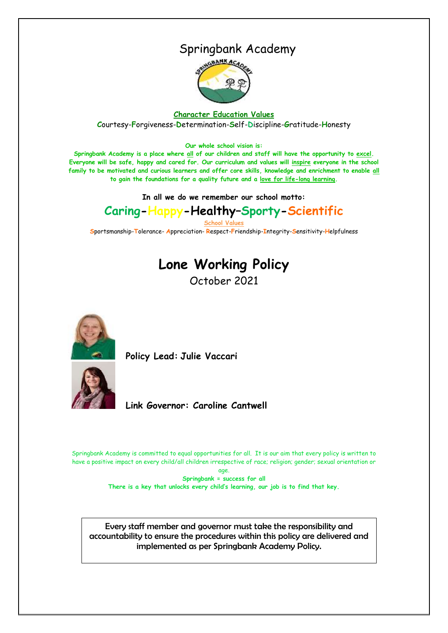## Springbank Academy



#### **Character Education Values**

**C**ourtesy-**F**orgiveness-**D**etermination-**S**elf-**D**iscipline-**G**ratitude-**H**onesty

#### **Our whole school vision is:**

**Springbank Academy is a place where all of our children and staff will have the opportunity to excel. Everyone will be safe, happy and cared for. Our curriculum and values will inspire everyone in the school family to be motivated and curious learners and offer core skills, knowledge and enrichment to enable all to gain the foundations for a quality future and a love for life-long learning.**

**In all we do we remember our school motto:**

# **Caring-Happy-Healthy–Sporty-Scientific**

**School Values**

**S**portsmanship-**T**olerance- **A**ppreciation- **R**espect-**F**riendship-**I**ntegrity-**S**ensitivity-**H**elpfulness

# **Lone Working Policy**

October 2021



**Policy Lead: Julie Vaccari** 



**Link Governor: Caroline Cantwell**

Springbank Academy is committed to equal opportunities for all. It is our aim that every policy is written to have a positive impact on every child/all children irrespective of race; religion; gender; sexual orientation or

> age. **Springbank = success for all There is a key that unlocks every child's learning, our job is to find that key.**

Every staff member and governor must take the responsibility and accountability to ensure the procedures within this policy are delivered and implemented as per Springbank Academy Policy.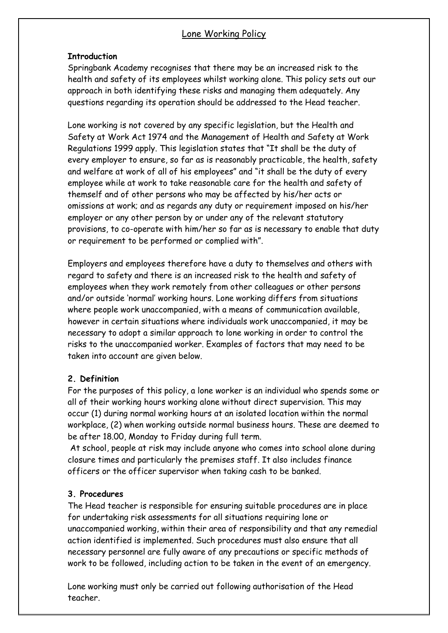#### Lone Working Policy

#### **Introduction**

Springbank Academy recognises that there may be an increased risk to the health and safety of its employees whilst working alone. This policy sets out our approach in both identifying these risks and managing them adequately. Any questions regarding its operation should be addressed to the Head teacher.

Lone working is not covered by any specific legislation, but the Health and Safety at Work Act 1974 and the Management of Health and Safety at Work Regulations 1999 apply. This legislation states that "It shall be the duty of every employer to ensure, so far as is reasonably practicable, the health, safety and welfare at work of all of his employees" and "it shall be the duty of every employee while at work to take reasonable care for the health and safety of themself and of other persons who may be affected by his/her acts or omissions at work; and as regards any duty or requirement imposed on his/her employer or any other person by or under any of the relevant statutory provisions, to co-operate with him/her so far as is necessary to enable that duty or requirement to be performed or complied with".

Employers and employees therefore have a duty to themselves and others with regard to safety and there is an increased risk to the health and safety of employees when they work remotely from other colleagues or other persons and/or outside 'normal' working hours. Lone working differs from situations where people work unaccompanied, with a means of communication available, however in certain situations where individuals work unaccompanied, it may be necessary to adopt a similar approach to lone working in order to control the risks to the unaccompanied worker. Examples of factors that may need to be taken into account are given below.

#### **2. Definition**

For the purposes of this policy, a lone worker is an individual who spends some or all of their working hours working alone without direct supervision. This may occur (1) during normal working hours at an isolated location within the normal workplace, (2) when working outside normal business hours. These are deemed to be after 18.00, Monday to Friday during full term.

At school, people at risk may include anyone who comes into school alone during closure times and particularly the premises staff. It also includes finance officers or the officer supervisor when taking cash to be banked.

#### **3. Procedures**

The Head teacher is responsible for ensuring suitable procedures are in place for undertaking risk assessments for all situations requiring lone or unaccompanied working, within their area of responsibility and that any remedial action identified is implemented. Such procedures must also ensure that all necessary personnel are fully aware of any precautions or specific methods of work to be followed, including action to be taken in the event of an emergency.

Lone working must only be carried out following authorisation of the Head teacher.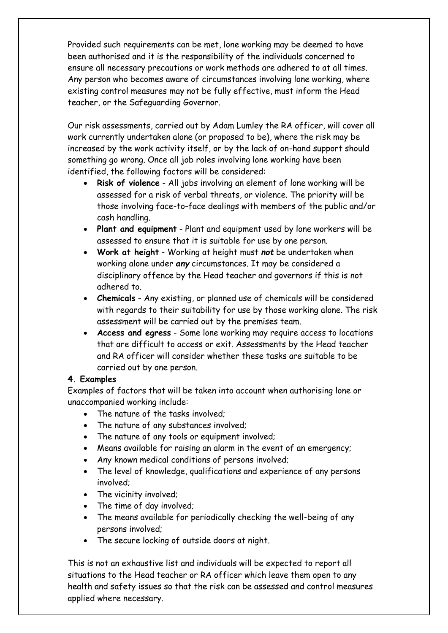Provided such requirements can be met, lone working may be deemed to have been authorised and it is the responsibility of the individuals concerned to ensure all necessary precautions or work methods are adhered to at all times. Any person who becomes aware of circumstances involving lone working, where existing control measures may not be fully effective, must inform the Head teacher, or the Safeguarding Governor.

Our risk assessments, carried out by Adam Lumley the RA officer, will cover all work currently undertaken alone (or proposed to be), where the risk may be increased by the work activity itself, or by the lack of on-hand support should something go wrong. Once all job roles involving lone working have been identified, the following factors will be considered:

- **Risk of violence** All jobs involving an element of lone working will be assessed for a risk of verbal threats, or violence. The priority will be those involving face-to-face dealings with members of the public and/or cash handling.
- **Plant and equipment** Plant and equipment used by lone workers will be assessed to ensure that it is suitable for use by one person.
- **Work at height** Working at height must *not* be undertaken when working alone under *any* circumstances. It may be considered a disciplinary offence by the Head teacher and governors if this is not adhered to.
- **Chemicals** Any existing, or planned use of chemicals will be considered with regards to their suitability for use by those working alone. The risk assessment will be carried out by the premises team.
- **Access and egress** Some lone working may require access to locations that are difficult to access or exit. Assessments by the Head teacher and RA officer will consider whether these tasks are suitable to be carried out by one person.

#### **4. Examples**

Examples of factors that will be taken into account when authorising lone or unaccompanied working include:

- The nature of the tasks involved;
- The nature of any substances involved:
- The nature of any tools or equipment involved;
- Means available for raising an alarm in the event of an emergency;
- Any known medical conditions of persons involved;
- The level of knowledge, qualifications and experience of any persons involved;
- The vicinity involved;
- The time of day involved;
- The means available for periodically checking the well-being of any persons involved;
- The secure locking of outside doors at night.

This is not an exhaustive list and individuals will be expected to report all situations to the Head teacher or RA officer which leave them open to any health and safety issues so that the risk can be assessed and control measures applied where necessary.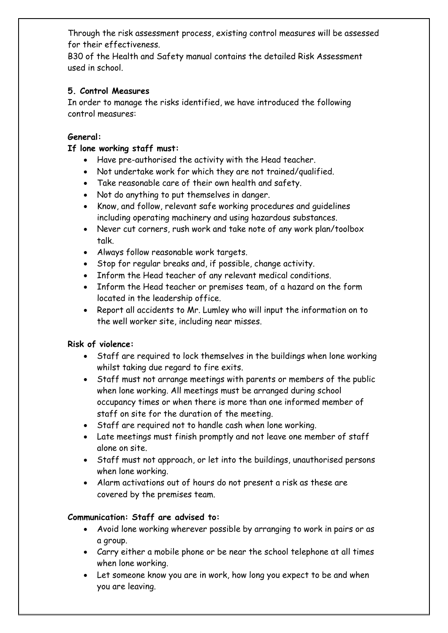Through the risk assessment process, existing control measures will be assessed for their effectiveness.

B30 of the Health and Safety manual contains the detailed Risk Assessment used in school.

#### **5. Control Measures**

In order to manage the risks identified, we have introduced the following control measures:

#### **General:**

#### **If lone working staff must:**

- Have pre-authorised the activity with the Head teacher.
- Not undertake work for which they are not trained/qualified.
- Take reasonable care of their own health and safety.
- Not do anything to put themselves in danger.
- Know, and follow, relevant safe working procedures and guidelines including operating machinery and using hazardous substances.
- Never cut corners, rush work and take note of any work plan/toolbox talk.
- Always follow reasonable work targets.
- Stop for regular breaks and, if possible, change activity.
- Inform the Head teacher of any relevant medical conditions.
- Inform the Head teacher or premises team, of a hazard on the form located in the leadership office.
- Report all accidents to Mr. Lumley who will input the information on to the well worker site, including near misses.

## **Risk of violence:**

- Staff are required to lock themselves in the buildings when lone working whilst taking due regard to fire exits.
- Staff must not arrange meetings with parents or members of the public when lone working. All meetings must be arranged during school occupancy times or when there is more than one informed member of staff on site for the duration of the meeting.
- Staff are required not to handle cash when lone working.
- Late meetings must finish promptly and not leave one member of staff alone on site.
- Staff must not approach, or let into the buildings, unauthorised persons when lone working.
- Alarm activations out of hours do not present a risk as these are covered by the premises team.

## **Communication: Staff are advised to:**

- Avoid lone working wherever possible by arranging to work in pairs or as a group.
- Carry either a mobile phone or be near the school telephone at all times when lone working.
- Let someone know you are in work, how long you expect to be and when you are leaving.